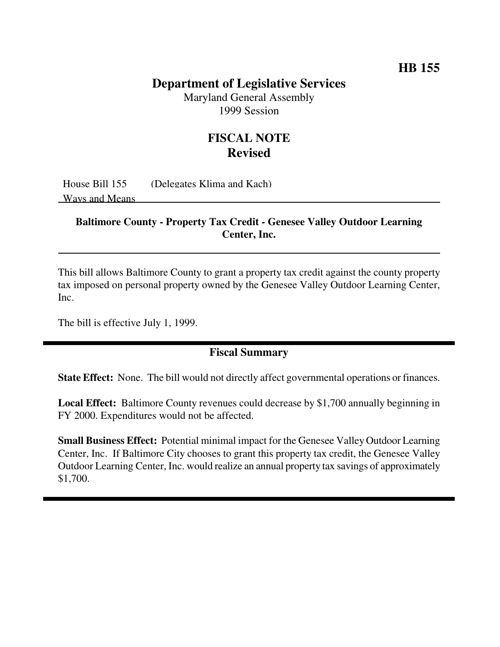# **HB 155**

## **Department of Legislative Services**

Maryland General Assembly 1999 Session

# **FISCAL NOTE Revised**

House Bill 155 (Delegates Klima and Kach) Ways and Means

#### **Baltimore County - Property Tax Credit - Genesee Valley Outdoor Learning Center, Inc.**

This bill allows Baltimore County to grant a property tax credit against the county property tax imposed on personal property owned by the Genesee Valley Outdoor Learning Center, Inc.

The bill is effective July 1, 1999.

## **Fiscal Summary**

**State Effect:** None. The bill would not directly affect governmental operations or finances.

**Local Effect:** Baltimore County revenues could decrease by \$1,700 annually beginning in FY 2000. Expenditures would not be affected.

**Small Business Effect:** Potential minimal impact for the Genesee Valley Outdoor Learning Center, Inc. If Baltimore City chooses to grant this property tax credit, the Genesee Valley Outdoor Learning Center, Inc. would realize an annual property tax savings of approximately \$1,700.